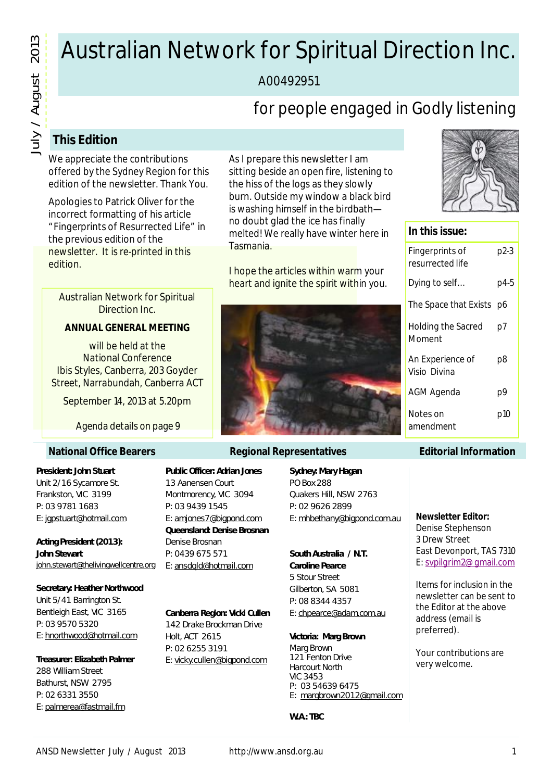# Australian Network for Spiritual Direction Inc.

A00492951

## for people engaged in Godly listening

### **This Edition**

We appreciate the contributions offered by the Sydney Region for this edition of the newsletter. Thank You.

Apologies to Patrick Oliver for the incorrect formatting of his article "Fingerprints of Resurrected Life" in the previous edition of the newsletter. It is re-printed in this edition.

Australian Network for Spiritual Direction Inc.

#### **ANNUAL GENERAL MEETING**

will be held at the National Conference Ibis Styles, Canberra, 203 Goyder Street, Narrabundah, Canberra ACT

September 14, 2013 at 5.20pm

*Agenda details on page 9*

#### **National Office Bearers**

**President: John Stuart** Unit 2/16 Sycamore St. Frankston, VIC 3199 P: 03 9781 1683 E: jgpstuart@hotmail.com

**Acting President (2013): John Stewart** john.stewart@thelivingwellcentre.org

### **Secretary: Heather Northwood**

Unit 5/41 Barrington St. Bentleigh East, VIC 3165 P: 03 9570 5320 E: hnorthwood@hotmail.com

**Treasurer: Elizabeth Palmer** 288 William Street Bathurst, NSW 2795 P: 02 6331 3550 E: palmerea@fastmail.fm

**Public Officer: Adrian Jones** 13 Aanensen Court Montmorency, VIC 3094 P: 03 9439 1545 E: amjones7@bigpond.com **Queensland: Denise Brosnan** Denise Brosnan P: 0439 675 571 E: ansdqld@hotmail.com

#### **Canberra Region: Vicki Cullen**

142 Drake Brockman Drive Holt, ACT 2615 P: 02 6255 3191 E: vicky.cullen@bigpond.com

As I prepare this newsletter I am sitting beside an open fire, listening to the hiss of the logs as they slowly burn. Outside my window a black bird is washing himself in the birdbath no doubt glad the ice has finally melted! We really have winter here in Tasmania.

I hope the articles within warm your heart and ignite the spirit within you.



#### **Regional Representatives**

**Sydney: Mary Hagan** PO Box 288 Quakers Hill, NSW 2763 P: 02 9626 2899 E: mhbethany@bigpond.com.au

**South Australia / N.T. Caroline Pearce** 5 Stour Street Gilberton, SA 5081 P: 08 8344 4357 E: chpearce@adam.com.au

**Victoria: Marg Brown** Marg Brown 121 Fenton Drive Harcourt North VIC 3453 P: 03 54639 6475 E: margbrown2012@gmail.com

**W.A.: TBC**



#### **In this issue:**

| Fingerprints of<br>resurrected life | p2-3 |
|-------------------------------------|------|
| Dying to self                       | p4-5 |
| The Space that Exists               | p6   |
| <b>Holding the Sacred</b><br>Moment | p7   |
| An Experience of<br>Visio Divina    | p8   |
| AGM Agenda                          | р9   |
| Notes on<br>amendment               | p10  |

#### **Editorial Information**

**Newsletter Editor:**

Denise Stephenson 3 Drew Street East Devonport, TAS 7310 E: svpilgrim2@gmail.com

Items for inclusion in the newsletter can be sent to the Editor at the above address (email is preferred).

Your contributions are very welcome.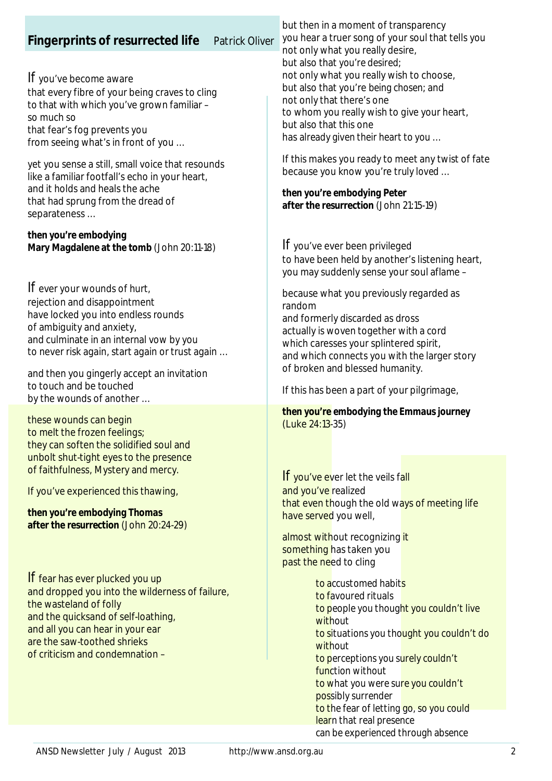### **Fingerprints of resurrected life** *Patrick Oliver*

*If* you've become aware that every fibre of your being craves to cling to that with which you've grown familiar – so much so that fear's fog prevents you from seeing what's in front of you …

yet you sense a still, small voice that resounds like a familiar footfall's echo in your heart, and it holds and heals the ache that had sprung from the dread of separateness …

*then you're embodying Mary Magdalene at the tomb* (John 20:11-18)

*If* ever your wounds of hurt, rejection and disappointment have locked you into endless rounds of ambiguity and anxiety, and culminate in an internal vow by you to never risk again, start again or trust again …

and then you gingerly accept an invitation to touch and be touched by the wounds of another …

these wounds can begin to melt the frozen feelings; they can soften the solidified soul and unbolt shut-tight eyes to the presence of faithfulness, Mystery and mercy.

If you've experienced this thawing,

*then you're embodying Thomas after the resurrection* (John 20:24-29)

*If* fear has ever plucked you up and dropped you into the wilderness of failure, the wasteland of folly and the quicksand of self-loathing, and all you can hear in your ear are the saw-toothed shrieks of criticism and condemnation –

but then in a moment of transparency you hear a truer song of your soul that tells you not only what you really desire, but also that *you're desired*; not only what you really wish to choose, but also that you're *being chosen*; and not only that there's one to whom you really wish to give your heart, but also that this one has *already given their heart to you* …

If this makes you ready to meet any twist of fate because you know you're *truly loved* …

*then you're embodying Peter after the resurrection* (John 21:15-19)

*If* you've ever been privileged to have been held by another's listening heart, you may suddenly sense your soul aflame –

because what you previously regarded as random and formerly discarded as dross actually is woven together with a cord which caresses your splintered spirit, and which connects you with the larger story of broken and blessed humanity.

If this has been a part of your pilgrimage,

*then you're embodying the Emmaus journey* (Luke 24:13-35)

**If** you've ever let the veils fall and you've realized that even though the old ways of meeting life have served you well,

almost without recognizing it something has taken you past the need to cling

> *to accustomed habits to favoured rituals to people you thought you couldn't live without to situations you thought you couldn't do without to perceptions you surely couldn't function without to what you were sure you couldn't possibly surrender to the fear of letting go, so you could learn that real presence can be experienced through absence*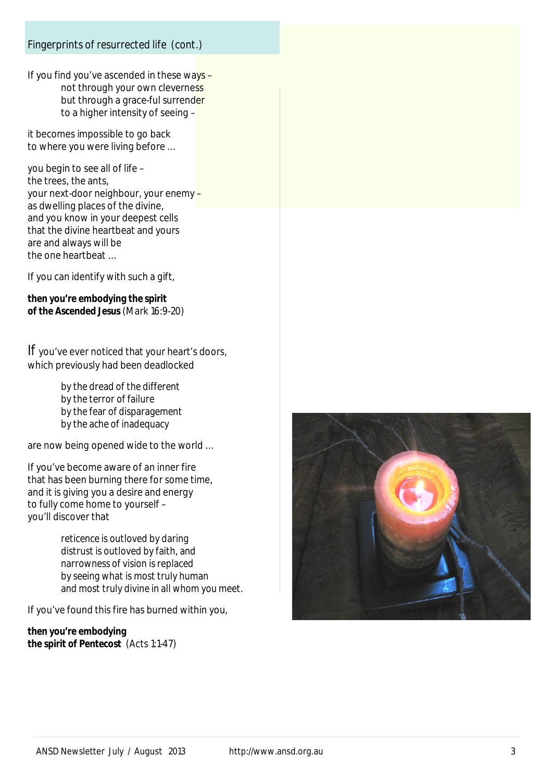#### *Fingerprints of resurrected life (cont.)*

If you find you've ascended in these ways  $$ not through your own cleverness but through a grace-ful surrender to a higher intensity of seeing –

it becomes impossible to go back to where you were living before …

you begin to see all of life – the trees, the ants, your next-door neighbour, your enemy – as dwelling places of the divine, and you know in your deepest cells that the divine heartbeat and yours are and always will be the one heartbeat …

If you can identify with such a gift,

*then you're embodying the spirit of the Ascended Jesus* (Mark 16:9-20)

*If* you've ever noticed that your heart's doors, which previously had been deadlocked

> *by the dread of the different by the terror of failure by the fear of disparagement by the ache of inadequacy*

are now being opened wide to the world …

If you've become aware of an inner fire that has been burning there for some time, and it is giving you a desire and energy to fully come home to yourself – you'll discover that

> *reticence is outloved by daring distrust is outloved by faith, and narrowness of vision is replaced by seeing what is most truly human and most truly divine in all whom you meet.*

If you've found this fire has burned within you,

*then you're embodying the spirit of Pentecost* (Acts 1:1-47)

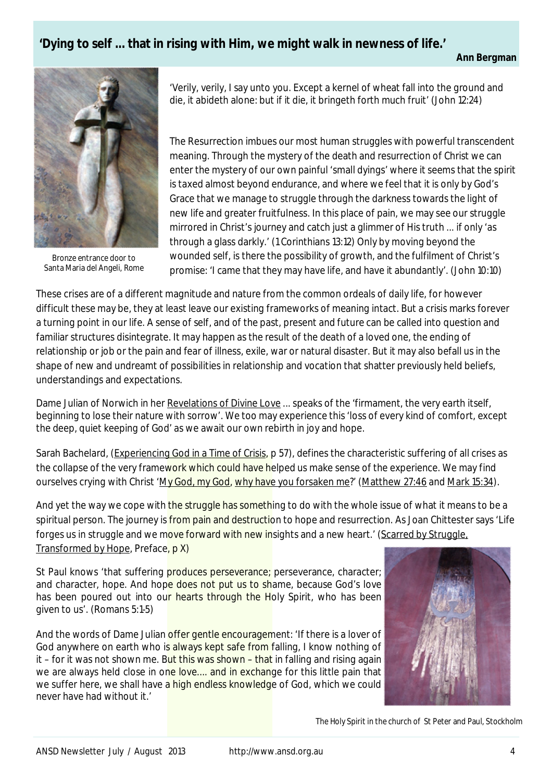### **'Dying to self ... that in rising with Him, we might walk in newness of life.'**



*Bronze entrance door to Santa Maria del Angeli, Rome*

'Verily, verily, I say unto you. Except a kernel of wheat fall into the ground and die, it abideth alone: but if it die, it bringeth forth much fruit' (John 12:24)

The Resurrection imbues our most human struggles with powerful transcendent meaning. Through the mystery of the death and resurrection of Christ we can enter the mystery of our own painful 'small dyings' where it seems that the spirit is taxed almost beyond endurance, and where we feel that it is only by God's Grace that we manage to struggle through the darkness towards the light of new life and greater fruitfulness. In this place of pain, we may see our struggle mirrored in Christ's journey and catch just a glimmer of His truth ... if only 'as through a glass darkly.' (1 Corinthians 13:12) Only by moving beyond the wounded self, is there the possibility of growth, and the fulfilment of Christ's promise: 'I came that they may have life, and have it abundantly'. (John 10:10)

These crises are of a different magnitude and nature from the common ordeals of daily life, for however difficult these may be, they at least leave our existing frameworks of meaning intact. But a crisis marks forever a turning point in our life. A sense of self, and of the past, present and future can be called into question and familiar structures disintegrate. It may happen as the result of the death of a loved one, the ending of relationship or job or the pain and fear of illness, exile, war or natural disaster. But it may also befall us in the shape of new and undreamt of possibilities in relationship and vocation that shatter previously held beliefs, understandings and expectations.

Dame Julian of Norwich in her Revelations of Divine Love ... speaks of the 'firmament, the very earth itself, beginning to lose their nature with sorrow'. We too may experience this 'loss of every kind of comfort, except the deep, quiet keeping of God' as we await our own rebirth in joy and hope.

Sarah Bachelard, (Experiencing God in a Time of Crisis, p 57), defines the characteristic suffering of all crises as the collapse of the very framework which could have helped us make sense of the experience. We may find ourselves crying with Christ 'My God, my God, why have you forsaken me?' (Matthew 27:46 and Mark 15:34).

And yet the way we cope with the struggle has something to do with the whole issue of what it means to be a spiritual person. The journey is *from pain and destruction* to hope and resurrection. As Joan Chittester says 'Life forges us in struggle and we move forward with new insights and a new heart.' (Scarred by Struggle, Transformed by Hope, Preface, p X)

St Paul knows 'that suffering produces perseverance; perseverance, character; and character, hope. And hope does not put us to shame, because God's love has been poured out into our hearts through the Holy Spirit, who has been given to us'. (Romans 5:1-5)

And the words of Dame Julian offer gentle encouragement: 'If there is a lover of God anywhere on earth who is always kept safe from falling. I know nothing of it – for it was not shown me. But this was shown – that in falling and rising again we are always held close in one love.... and in exchange for this little pain that we suffer here, we shall have a high endless knowledge of God, which we could never have had without it.'



*The Holy Spirit in the church of St Peter and Paul, Stockholm*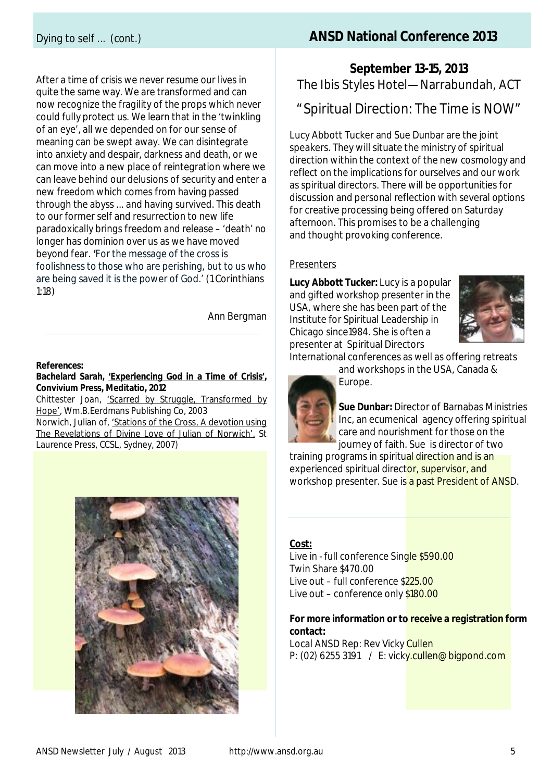After a time of crisis we never resume our lives in quite the same way. We are transformed and can now recognize the fragility of the props which never could fully protect us. We learn that in the 'twinkling of an eye', all we depended on for our sense of meaning can be swept away. We can disintegrate into anxiety and despair, darkness and death, or we can move into a new place of reintegration where we can leave behind our delusions of security and enter a new freedom which comes from having passed through the abyss ... and having survived. This death to our former self and resurrection to new life paradoxically brings freedom and release – 'death' no longer has dominion over us as we have moved beyond fear. **'**For the message of the cross is foolishness to those who are perishing, but to us who are being saved it is the power of God.' (1 Corinthians 1:18)

Ann Bergman

#### **References:**

#### **Bachelard Sarah, 'Experiencing God in a Time of Crisis', Convivium Press, Meditatio, 2012**

Chittester Joan, 'Scarred by Struggle, Transformed by Hope', Wm.B.Eerdmans Publishing Co, 2003

Norwich, Julian of, 'Stations of the Cross, A devotion using The Revelations of Divine Love of Julian of Norwich', St Laurence Press, CCSL, Sydney, 2007)



### Dying to self ... *(cont.)* **ANSD National Conference 2013**

**September 13-15, 2013**  The Ibis Styles Hotel—Narrabundah, ACT

### "Spiritual Direction: The Time is NOW"

Lucy Abbott Tucker and Sue Dunbar are the joint speakers. They will situate the ministry of spiritual direction within the context of the new cosmology and reflect on the implications for ourselves and our work as spiritual directors. There will be opportunities for discussion and personal reflection with several options for creative processing being offered on Saturday afternoon. This promises to be a challenging and thought provoking conference.

#### Presenters

**Lucy Abbott Tucker:** Lucy is a popular and gifted workshop presenter in the USA, where she has been part of the Institute for Spiritual Leadership in Chicago since1984. She is often a presenter at Spiritual Directors



International conferences as well as offering retreats

and workshops in the USA, Canada & Europe.



**Sue Dunbar:** Director of Barnabas Ministries Inc, an ecumenical agency offering spiritual care and nourishment for those on the journey of faith. Sue is director of two

training programs in spiritual direction and is an experienced spiritual director, supervisor, and workshop presenter. Sue is a past President of ANSD.

#### **Cost:**

Live in - full conference Single \$590.00 Twin Share \$470.00 Live out – full conference \$225.00 Live out – conference only \$180.00

#### **For more information or to receive a registration form contact:**

Local ANSD Rep: Rev Vicky Cullen P: (02) 6255 3191 / E: vicky.cullen@bigpond.com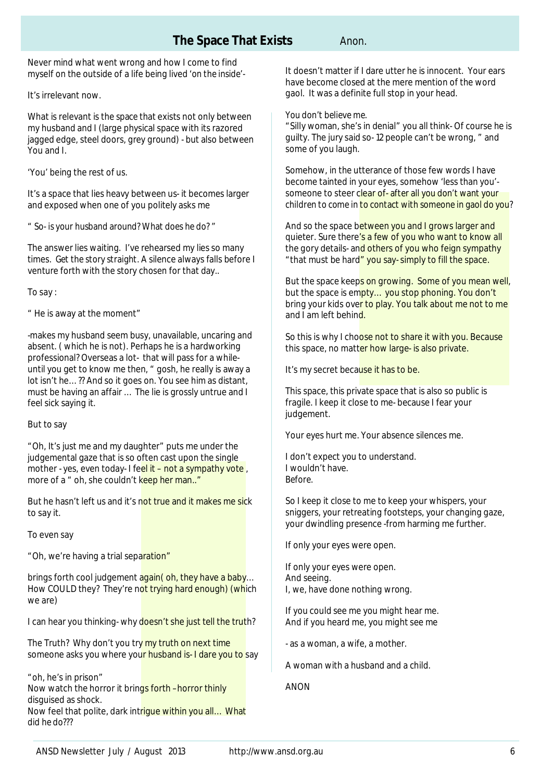### **The Space That Exists** *Anon.*

Never mind what went wrong and how I come to find myself on the outside of a life being lived '*on the inside'-*

It's irrelevant now.

What is relevant is the *space* that exists not only between my husband and I (large physical space with its razored jagged edge, steel doors, grey ground) - but also between You and I.

'You' being the rest of us.

It's a space that lies heavy between us- it becomes larger and exposed when one of you politely asks me

*" So- is your husband around? What does he do?* "

The answer lies waiting. I've rehearsed my lies so many times. *Get the story straight.* A silence always falls before I venture forth with the story chosen for that day..

To say :

" He is away at the moment"

-makes my husband seem busy, unavailable, uncaring and absent. ( which he is not). Perhaps he is a hardworking professional? Overseas a lot- that will pass for a whileuntil you get to know me then, " gosh, he really is away a lot isn't he…?? And so it goes on. You see him as distant, must be having an affair … The lie is grossly untrue and I feel sick saying it.

But to say

"Oh, It's just me and my daughter" puts me under the judgemental gaze that is so often cast upon the single mother - yes, even today- I feel it – not a sympathy vote, more of a " oh, she couldn't keep her man.."

But he hasn't left us and it's not true and it makes me sick to say it.

To even say

"Oh, we're having a trial separation"

brings forth cool judgement again( oh, they have a baby... How COULD they? They're not trying hard enough) (which we are)

I can hear you thinking- why doesn't she just tell the truth?

The Truth? Why don't you try my truth on next time someone asks you where your husband is- I dare you to say

"oh, he's in prison" Now watch the horror it brings forth -horror thinly

disguised as shock.

Now feel that polite, dark intrigue within you all… *What did he do???*

It doesn't matter if I dare utter he is innocent. Your ears have become closed at the mere mention of the word gaol. It was a definite full stop in your head.

*You don't believe me.* 

"Silly woman, she's in denial" you all think- Of course he is guilty. The jury said so- 12 people can't be wrong, " and some of you laugh.

Somehow, in the utterance of those few words I have become tainted in your eyes, somehow 'less than you' someone to steer clear of- *after all you don't want your children to come in to contact with someone in gaol do you?*

And so the space between you and I grows larger and quieter. Sure there's a few of you who want to know all the gory details- and others of you who feign sympathy "that must be hard" you say- simply to fill the space.

But the space keeps on growing. Some of you mean well, but the space is empty... you stop phoning. You don't bring your kids over to play. You talk about me not to me and I am left behind.

So this is why I choose not to share it with you. Because this space, no matter how large- is also private.

It's my secret because it has to be.

This space, this private space that is also so public is fragile. I keep it close to me- because I fear your judgement.

Your eyes hurt me. Your absence silences me.

I don't expect you to understand. I wouldn't have. *Before.*

So I keep it close to me to keep your whispers, your sniggers, your retreating footsteps, your changing gaze, your dwindling presence -from harming me further.

If only your eyes were open.

If only your eyes were open. And seeing. I, we, have done nothing wrong.

If you could see me you might hear me. And if you heard me, you might see me

- as a woman, a wife, a mother.

A woman with a husband and a child.

ANON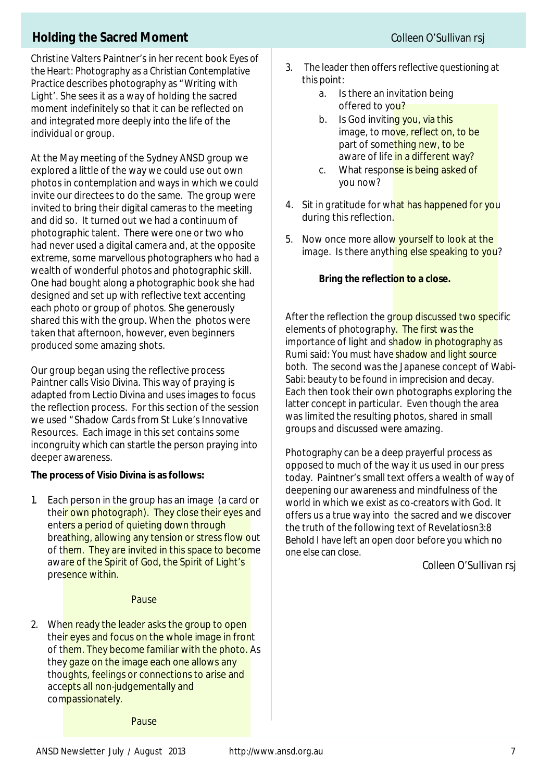### **Holding the Sacred Moment** *Colleen O'Sullivan rsj*

Christine Valters Paintner's in her recent book *Eyes of the Heart: Photography as a Christian Contemplative Practice* describes photography *as* "Writing with Light'. She sees it as a way of holding the sacred moment indefinitely so that it can be reflected on and integrated more deeply into the life of the individual or group.

At the May meeting of the Sydney ANSD group we explored a little of the way we could use out own photos in contemplation and ways in which we could invite our directees to do the same. The group were invited to bring their digital cameras to the meeting and did so. It turned out we had a continuum of photographic talent. There were one or two who had never used a digital camera and, at the opposite extreme, some marvellous photographers who had a wealth of wonderful photos and photographic skill. One had bought along a photographic book she had designed and set up with reflective text accenting each photo or group of photos. She generously shared this with the group. When the photos were taken that afternoon, however, even beginners produced some amazing shots.

Our group began using the reflective process Paintner calls *Visio Divina*. This way of praying is adapted from *Lectio Divina* and uses images to focus the reflection process. For this section of the session we used "Shadow Cards from St Luke's Innovative Resources. Each image in this set contains some incongruity which can startle the person praying into deeper awareness.

#### **The process of** *Visio Divina* **is as follows:**

1. Each person in the group has an image (a card or their own photograph). They close their eyes and enters a period of quieting down through breathing, allowing any tension or stress flow out of them. They are invited in this space to become aware of the Spirit of God, the Spirit of Light's presence within.

#### Pause

2. When ready the leader asks the group to open their eyes and focus on the whole image in front of them. They become familiar with the photo. As they gaze on the image each one allows any thoughts, feelings or connections to arise and accepts all non-judgementally and compassionately.

- *3. The leader then offers reflective questioning at this point:*
	- a. Is there an invitation being offered to you?
	- b. Is God inviting you, via this image, to move, reflect on, to be part of something new, to be aware of life in a different way?
	- c. What response is being asked of you now?
- 4. Sit in gratitude for what has happened for you during this reflection.
- 5. Now once more allow yourself to look at the image. Is there anything else speaking to you?

#### **Bring the reflection to a close.**

After the reflection the group discussed two specific elements of photography. The first was the importance of light and shadow in photography as Rumi said: *You must have shadow and light source both.* The second was the Japanese concept of *Wabi-Sabi: beauty to be found in imprecision and decay.* Each then took their own photographs exploring the latter concept in particular. Even though the area was limited the resulting photos, shared in small groups and discussed were amazing.

Photography can be a deep prayerful process as opposed to much of the way it us used in our press today. Paintner's small text offers a wealth of way of deepening our awareness and mindfulness of the world in which we exist as co-creators with God. It offers us a true way into the sacred and we discover the truth of the following text of Revelatiosn3:8 *Behold I have left an open door before you which no one else can close.*

*Colleen O'Sullivan rsj*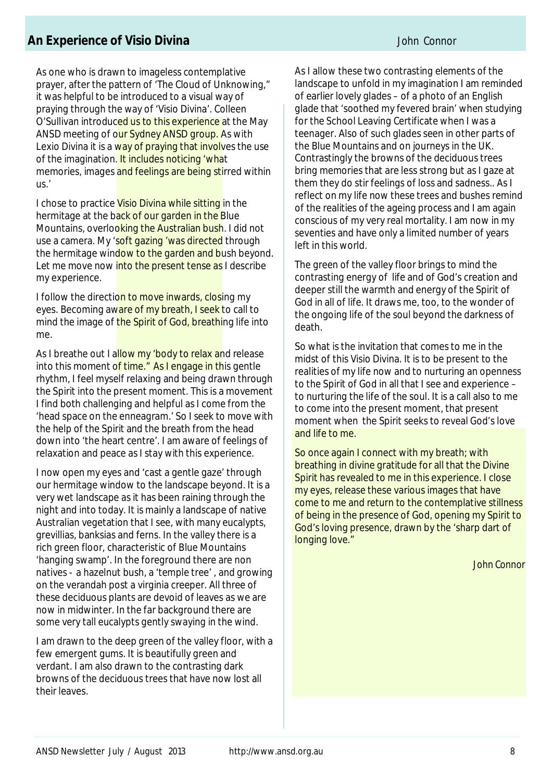### **An Experience of Visio Divina** *John Connor*

As one who is drawn to imageless contemplative prayer, after the pattern of 'The Cloud of Unknowing," it was helpful to be introduced to a visual way of praying through the way of 'Visio Divina'. Colleen O'Sullivan introduced us to this experience at the May ANSD meeting of our Sydney ANSD group. As with Lexio Divina it is a way of praying that involves the use of the imagination. It includes noticing 'what memories, images and feelings are being stirred within us.'

I chose to practice Visio Divina while sitting in the hermitage at the back of our garden in the Blue Mountains, overlooking the Australian bush. I did not use a camera. My 'soft gazing 'was directed through the hermitage window to the garden and bush beyond. Let me move now into the present tense as I describe my experience.

I follow the direction to move inwards, closing my eyes. Becoming aware of my breath, I seek to call to mind the image of the Spirit of God, breathing life into me.

As I breathe out I allow my 'body to relax and release into this moment of time." As I engage in this gentle rhythm, I feel myself relaxing and being drawn through the Spirit into the present moment. This is a movement I find both challenging and helpful as I come from the 'head space on the enneagram.' So I seek to move with the help of the Spirit and the breath from the head down into 'the heart centre'. I am aware of feelings of relaxation and peace as I stay with this experience.

I now open my eyes and 'cast a gentle gaze' through our hermitage window to the landscape beyond. It is a very wet landscape as it has been raining through the night and into today. It is mainly a landscape of native Australian vegetation that I see, with many eucalypts, grevillias, banksias and ferns. In the valley there is a rich green floor, characteristic of Blue Mountains 'hanging swamp'. In the foreground there are non natives - a hazelnut bush, a 'temple tree' , and growing on the verandah post a virginia creeper. All three of these deciduous plants are devoid of leaves as we are now in midwinter. In the far background there are some very tall eucalypts gently swaying in the wind.

I am drawn to the deep green of the valley floor, with a few emergent gums. It is beautifully green and verdant. I am also drawn to the contrasting dark browns of the deciduous trees that have now lost all their leaves.

As I allow these two contrasting elements of the landscape to unfold in my imagination I am reminded of earlier lovely glades – of a photo of an English glade that 'soothed my fevered brain' when studying for the School Leaving Certificate when I was a teenager. Also of such glades seen in other parts of the Blue Mountains and on journeys in the UK. Contrastingly the browns of the deciduous trees bring memories that are less strong but as I gaze at them they do stir feelings of loss and sadness.. As I reflect on my life now these trees and bushes remind of the realities of the ageing process and I am again conscious of my very real mortality. I am now in my seventies and have only a limited number of years left in this world.

The green of the valley floor brings to mind the contrasting energy of life and of God's creation and deeper still the warmth and energy of the Spirit of God in all of life. It draws me, too, to the wonder of the ongoing life of the soul beyond the darkness of death.

So what is the invitation that comes to me in the midst of this Visio Divina. It is to be present to the realities of my life now and to nurturing an openness to the Spirit of God in all that I see and experience – to nurturing the life of the soul. It is a call also to me to come into the present moment, that present moment when the Spirit seeks to reveal God's love and life to me.

So once again I connect with my breath; with breathing in divine gratitude for all that the Divine Spirit has revealed to me in this experience. I close my eyes, release these various images that have come to me and return to the contemplative stillness of being in the presence of God, opening my Spirit to God's loving presence, drawn by the 'sharp dart of longing love."

*John Connor*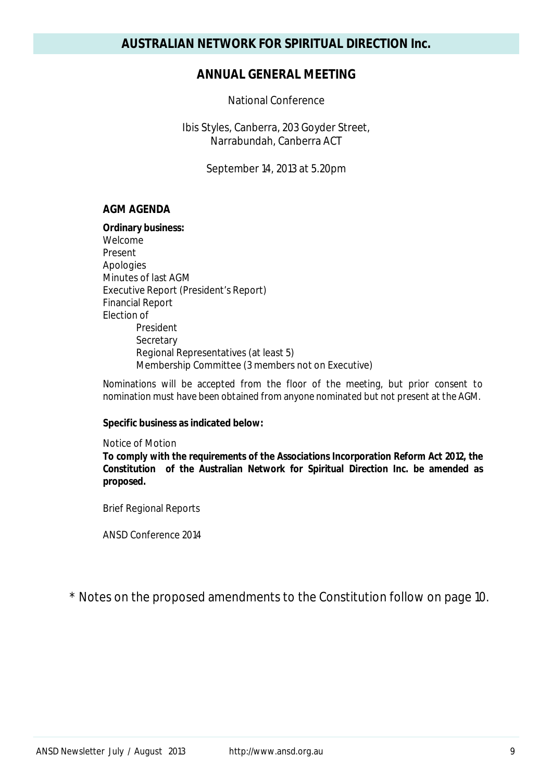### **ANNUAL GENERAL MEETING**

National Conference

Ibis Styles, Canberra, 203 Goyder Street, Narrabundah, Canberra ACT

September 14, 2013 at 5.20pm

#### **AGM AGENDA**

#### **Ordinary business:**

Welcome Present Apologies Minutes of last AGM Executive Report (President's Report) Financial Report Election of President **Secretary** Regional Representatives (at least 5) Membership Committee (3 members not on Executive)

*Nominations will be accepted from the floor of the meeting, but prior consent to nomination must have been obtained from anyone nominated but not present at the AGM.*

#### **Specific business as indicated below:**

Notice of Motion *To comply with the requirements of the Associations Incorporation Reform Act 2012, the Constitution of the Australian Network for Spiritual Direction Inc. be amended as proposed.*

Brief Regional Reports

ANSD Conference 2014

\* Notes on the proposed amendments to the Constitution follow on page 10.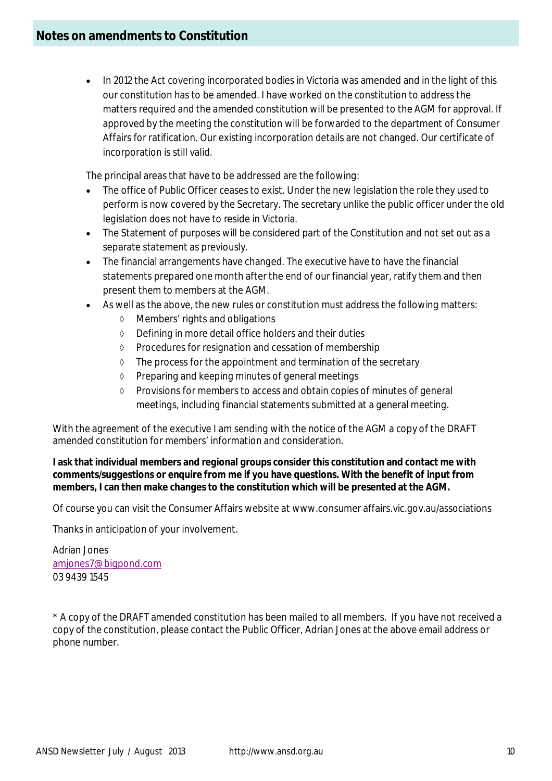• In 2012 the Act covering incorporated bodies in Victoria was amended and in the light of this our constitution has to be amended. I have worked on the constitution to address the matters required and the amended constitution will be presented to the AGM for approval. If approved by the meeting the constitution will be forwarded to the department of Consumer Affairs for ratification. Our existing incorporation details are not changed. Our certificate of incorporation is still valid.

The principal areas that have to be addressed are the following:

- The office of Public Officer ceases to exist. Under the new legislation the role they used to perform is now covered by the Secretary. The secretary unlike the public officer under the old legislation does not have to reside in Victoria.
- The Statement of purposes will be considered part of the Constitution and not set out as a separate statement as previously.
- The financial arrangements have changed. The executive have to have the financial statements prepared one month after the end of our financial year, ratify them and then present them to members at the AGM.
- As well as the above, the new rules or constitution must address the following matters:
	- Members' rights and obligations
	- Defining in more detail office holders and their duties
	- $\Diamond$  Procedures for resignation and cessation of membership
	- $\Diamond$  The process for the appointment and termination of the secretary
	- $\Diamond$  Preparing and keeping minutes of general meetings
	- Provisions for members to access and obtain copies of minutes of general meetings, including financial statements submitted at a general meeting.

With the agreement of the executive I am sending with the notice of the AGM a copy of the DRAFT amended constitution for members' information and consideration.

#### **I ask that individual members and regional groups consider this constitution and contact me with comments/suggestions or enquire from me if you have questions. With the benefit of input from members, I can then make changes to the constitution which will be presented at the AGM.**

Of course you can visit the Consumer Affairs website at www.consumer affairs.vic.gov.au/associations

Thanks in anticipation of your involvement.

Adrian Jones amjones7@bigpond.com 03 9439 1545

\* A copy of the DRAFT amended constitution has been mailed to all members. If you have not received a copy of the constitution, please contact the Public Officer, Adrian Jones at the above email address or phone number.